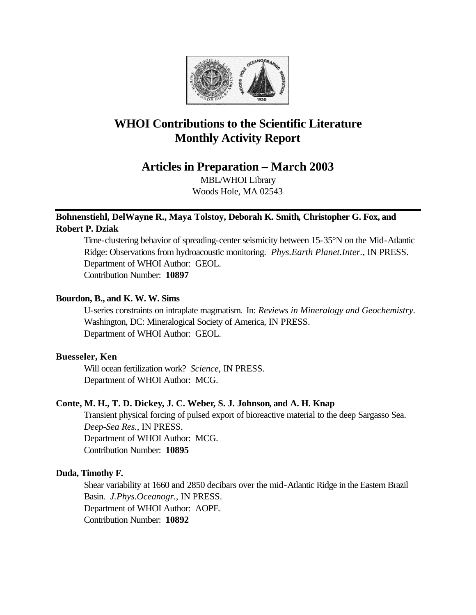

# **WHOI Contributions to the Scientific Literature Monthly Activity Report**

**Articles in Preparation – March 2003**

MBL/WHOI Library Woods Hole, MA 02543

# **Bohnenstiehl, DelWayne R., Maya Tolstoy, Deborah K. Smith, Christopher G. Fox, and Robert P. Dziak**

Time-clustering behavior of spreading-center seismicity between 15-35°N on the Mid-Atlantic Ridge: Observations from hydroacoustic monitoring. *Phys.Earth Planet.Inter.*, IN PRESS. Department of WHOI Author: GEOL. Contribution Number: **10897**

## **Bourdon, B., and K. W. W. Sims**

U-series constraints on intraplate magmatism. In: *Reviews in Mineralogy and Geochemistry.*  Washington, DC: Mineralogical Society of America, IN PRESS. Department of WHOI Author: GEOL.

## **Buesseler, Ken**

Will ocean fertilization work? *Science*, IN PRESS. Department of WHOI Author: MCG.

## **Conte, M. H., T. D. Dickey, J. C. Weber, S. J. Johnson, and A. H. Knap**

Transient physical forcing of pulsed export of bioreactive material to the deep Sargasso Sea. *Deep-Sea Res.*, IN PRESS. Department of WHOI Author: MCG. Contribution Number: **10895**

## **Duda, Timothy F.**

Shear variability at 1660 and 2850 decibars over the mid-Atlantic Ridge in the Eastern Brazil Basin. *J.Phys.Oceanogr.*, IN PRESS. Department of WHOI Author: AOPE. Contribution Number: **10892**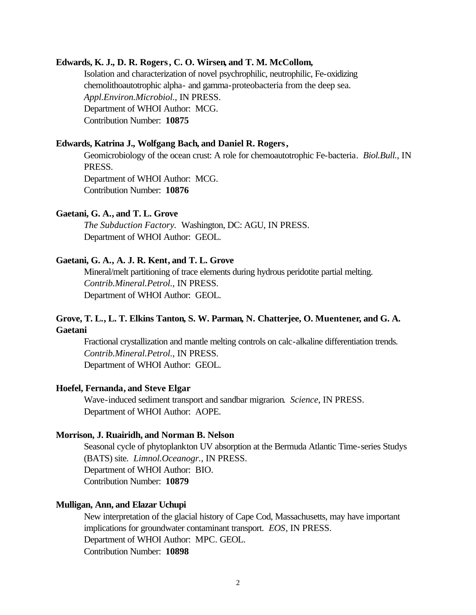#### **Edwards, K. J., D. R. Rogers, C. O. Wirsen, and T. M. McCollom,**

Isolation and characterization of novel psychrophilic, neutrophilic, Fe-oxidizing chemolithoautotrophic alpha- and gamma-proteobacteria from the deep sea. *Appl.Environ.Microbiol.*, IN PRESS. Department of WHOI Author: MCG. Contribution Number: **10875**

#### **Edwards, Katrina J., Wolfgang Bach, and Daniel R. Rogers,**

Geomicrobiology of the ocean crust: A role for chemoautotrophic Fe-bacteria. *Biol.Bull.*, IN PRESS.

Department of WHOI Author: MCG. Contribution Number: **10876**

#### **Gaetani, G. A., and T. L. Grove**

*The Subduction Factory.* Washington, DC: AGU, IN PRESS. Department of WHOI Author: GEOL.

#### **Gaetani, G. A., A. J. R. Kent, and T. L. Grove**

Mineral/melt partitioning of trace elements during hydrous peridotite partial melting. *Contrib.Mineral.Petrol.*, IN PRESS. Department of WHOI Author: GEOL.

## **Grove, T. L., L. T. Elkins Tanton, S. W. Parman, N. Chatterjee, O. Muentener, and G. A. Gaetani**

Fractional crystallization and mantle melting controls on calc-alkaline differentiation trends. *Contrib.Mineral.Petrol.*, IN PRESS. Department of WHOI Author: GEOL.

#### **Hoefel, Fernanda, and Steve Elgar**

Wave-induced sediment transport and sandbar migrarion. *Science*, IN PRESS. Department of WHOI Author: AOPE.

#### **Morrison, J. Ruairidh, and Norman B. Nelson**

Seasonal cycle of phytoplankton UV absorption at the Bermuda Atlantic Time-series Studys (BATS) site. *Limnol.Oceanogr.*, IN PRESS. Department of WHOI Author: BIO. Contribution Number: **10879**

#### **Mulligan, Ann, and Elazar Uchupi**

New interpretation of the glacial history of Cape Cod, Massachusetts, may have important implications for groundwater contaminant transport. *EOS*, IN PRESS. Department of WHOI Author: MPC. GEOL. Contribution Number: **10898**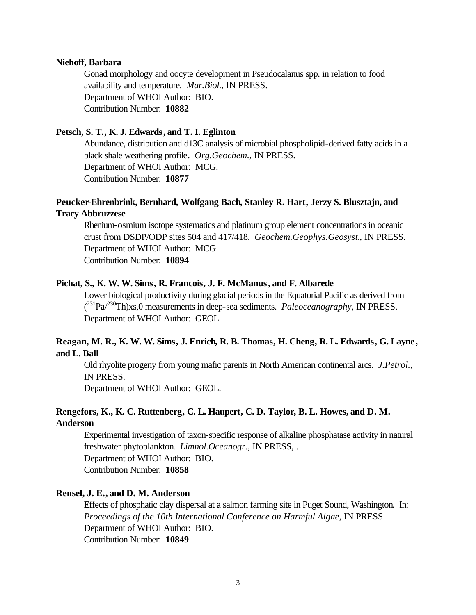#### **Niehoff, Barbara**

Gonad morphology and oocyte development in Pseudocalanus spp. in relation to food availability and temperature. *Mar.Biol.*, IN PRESS. Department of WHOI Author: BIO. Contribution Number: **10882**

## **Petsch, S. T., K. J. Edwards, and T. I. Eglinton**

Abundance, distribution and d13C analysis of microbial phospholipid-derived fatty acids in a black shale weathering profile. *Org.Geochem.*, IN PRESS. Department of WHOI Author: MCG. Contribution Number: **10877**

# **Peucker-Ehrenbrink, Bernhard, Wolfgang Bach, Stanley R. Hart, Jerzy S. Blusztajn, and Tracy Abbruzzese**

Rhenium-osmium isotope systematics and platinum group element concentrations in oceanic crust from DSDP/ODP sites 504 and 417/418. *Geochem.Geophys.Geosyst.*, IN PRESS. Department of WHOI Author: MCG.

Contribution Number: **10894**

## **Pichat, S., K. W. W. Sims, R. Francois, J. F. McManus, and F. Albarede**

Lower biological productivity during glacial periods in the Equatorial Pacific as derived from  $(^{231}Pa^{230}Th)xs,0$  measurements in deep-sea sediments. *Paleoceanography*, IN PRESS. Department of WHOI Author: GEOL.

# **Reagan, M. R., K. W. W. Sims, J. Enrich, R. B. Thomas, H. Cheng, R. L. Edwards, G. Layne, and L. Ball**

Old rhyolite progeny from young mafic parents in North American continental arcs. *J.Petrol.*, IN PRESS.

Department of WHOI Author: GEOL.

## **Rengefors, K., K. C. Ruttenberg, C. L. Haupert, C. D. Taylor, B. L. Howes, and D. M. Anderson**

Experimental investigation of taxon-specific response of alkaline phosphatase activity in natural freshwater phytoplankton. *Limnol.Oceanogr.*, IN PRESS, . Department of WHOI Author: BIO. Contribution Number: **10858**

#### **Rensel, J. E., and D. M. Anderson**

Effects of phosphatic clay dispersal at a salmon farming site in Puget Sound, Washington. In: *Proceedings of the 10th International Conference on Harmful Algae*, IN PRESS. Department of WHOI Author: BIO. Contribution Number: **10849**